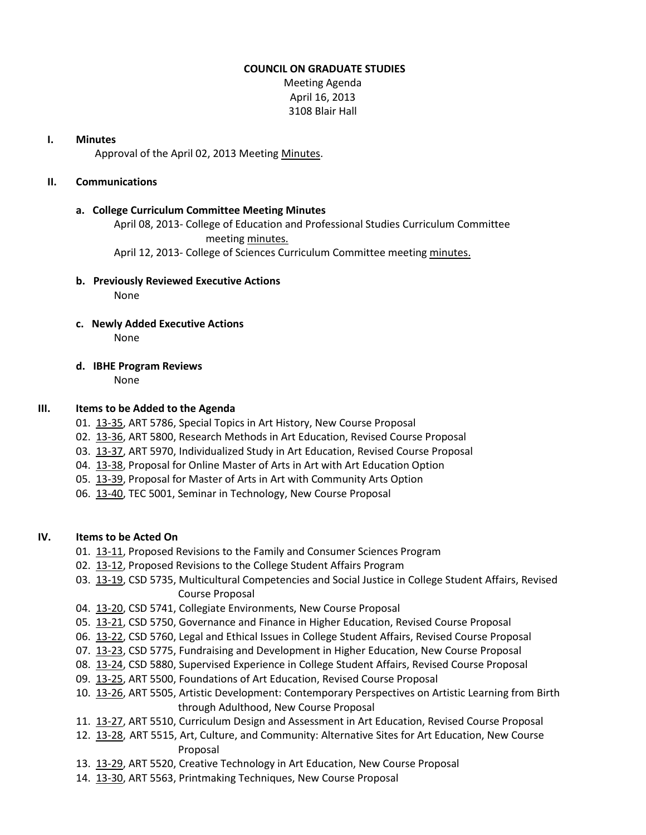## **COUNCIL ON GRADUATE STUDIES**

Meeting Agenda April 16, 2013 3108 Blair Hall

### **I. Minutes**

Approval of the April 02, 2013 Meetin[g Minutes.](http://castle.eiu.edu/eiucgs/currentminutes/Minutes04-02-13.pdf)

## **II. Communications**

## **a. College Curriculum Committee Meeting Minutes**

April 08, 2013- College of Education and Professional Studies Curriculum Committee meeting [minutes.](http://castle.eiu.edu/~eiucgs/currentagendaitems/CEPSMin04-08-13.pdf)

April 12, 2013- College of Sciences Curriculum Committee meeting [minutes.](http://castle.eiu.edu/~eiucgs/currentagendaitems/COSMin04-12-13.pdf)

### **b. Previously Reviewed Executive Actions**

None

- **c. Newly Added Executive Actions** None
- **d. IBHE Program Reviews**

None

# **III. Items to be Added to the Agenda**

- 01. [13-35,](http://castle.eiu.edu/~eiucgs/currentagendaitems/agenda13-35.pdf) ART 5786, Special Topics in Art History, New Course Proposal
- 02. [13-36,](http://castle.eiu.edu/~eiucgs/currentagendaitems/agenda13-36.pdf) ART 5800, Research Methods in Art Education, Revised Course Proposal
- 03. [13-37,](http://castle.eiu.edu/~eiucgs/currentagendaitems/agenda13-37.pdf) ART 5970, Individualized Study in Art Education, Revised Course Proposal
- 04. [13-38,](http://castle.eiu.edu/~eiucgs/currentagendaitems/agenda13-38.pdf) Proposal for Online Master of Arts in Art with Art Education Option
- 05. [13-39,](http://castle.eiu.edu/~eiucgs/currentagendaitems/agenda13-39.pdf) Proposal for Master of Arts in Art with Community Arts Option
- 06. [13-40,](http://castle.eiu.edu/~eiucgs/currentagendaitems/agenda13-40.pdf) TEC 5001, Seminar in Technology, New Course Proposal

# **IV. Items to be Acted On**

- 01. [13-11,](http://castle.eiu.edu/~eiucgs/currentagendaitems/agenda13-11.pdf) Proposed Revisions to the Family and Consumer Sciences Program
- 02. [13-12,](http://castle.eiu.edu/~eiucgs/currentagendaitems/agenda13-12.pdf) Proposed Revisions to the College Student Affairs Program
- 03. [13-19,](http://castle.eiu.edu/~eiucgs/currentagendaitems/agenda13-19.pdf) CSD 5735, Multicultural Competencies and Social Justice in College Student Affairs, Revised Course Proposal
- 04. [13-20,](http://castle.eiu.edu/~eiucgs/currentagendaitems/agenda13-20.pdf) CSD 5741, Collegiate Environments, New Course Proposal
- 05. [13-21,](http://castle.eiu.edu/~eiucgs/currentagendaitems/agenda13-21.pdf) CSD 5750, Governance and Finance in Higher Education, Revised Course Proposal
- 06. [13-22,](http://castle.eiu.edu/~eiucgs/currentagendaitems/agenda13-22.pdf) CSD 5760, Legal and Ethical Issues in College Student Affairs, Revised Course Proposal
- 07. [13-23,](http://castle.eiu.edu/~eiucgs/currentagendaitems/agenda13-23.pdf) CSD 5775, Fundraising and Development in Higher Education, New Course Proposal
- 08. [13-24,](http://castle.eiu.edu/~eiucgs/currentagendaitems/agenda13-24.pdf) CSD 5880, Supervised Experience in College Student Affairs, Revised Course Proposal
- 09. [13-25,](http://castle.eiu.edu/~eiucgs/currentagendaitems/agenda13-25.pdf) ART 5500, Foundations of Art Education, Revised Course Proposal
- 10. [13-26,](http://castle.eiu.edu/~eiucgs/currentagendaitems/agenda13-26.pdf) ART 5505, Artistic Development: Contemporary Perspectives on Artistic Learning from Birth through Adulthood, New Course Proposal
- 11. [13-27,](http://castle.eiu.edu/~eiucgs/currentagendaitems/agenda13-27.pdf) ART 5510, Curriculum Design and Assessment in Art Education, Revised Course Proposal
- 12. [13-28,](http://castle.eiu.edu/~eiucgs/currentagendaitems/agenda13-28.pdf) ART 5515, Art, Culture, and Community: Alternative Sites for Art Education, New Course Proposal
- 13. [13-29,](http://castle.eiu.edu/~eiucgs/currentagendaitems/agenda13-29.pdf) ART 5520, Creative Technology in Art Education, New Course Proposal
- 14. [13-30,](http://castle.eiu.edu/~eiucgs/currentagendaitems/agenda13-30.pdf) ART 5563, Printmaking Techniques, New Course Proposal